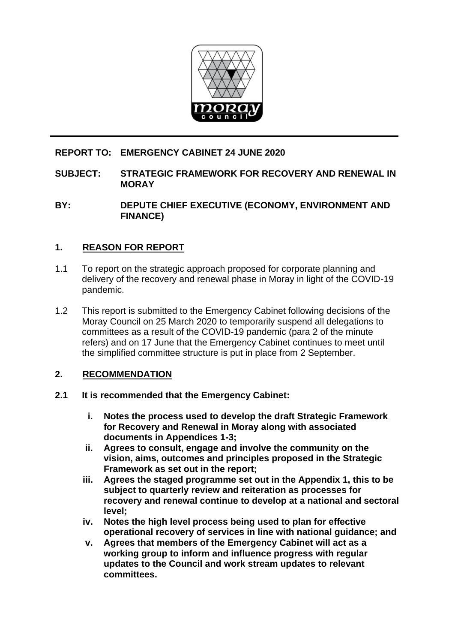

# **REPORT TO: EMERGENCY CABINET 24 JUNE 2020**

### **SUBJECT: STRATEGIC FRAMEWORK FOR RECOVERY AND RENEWAL IN MORAY**

**BY: DEPUTE CHIEF EXECUTIVE (ECONOMY, ENVIRONMENT AND FINANCE)**

# **1. REASON FOR REPORT**

- 1.1 To report on the strategic approach proposed for corporate planning and delivery of the recovery and renewal phase in Moray in light of the COVID-19 pandemic.
- 1.2 This report is submitted to the Emergency Cabinet following decisions of the Moray Council on 25 March 2020 to temporarily suspend all delegations to committees as a result of the COVID-19 pandemic (para 2 of the minute refers) and on 17 June that the Emergency Cabinet continues to meet until the simplified committee structure is put in place from 2 September.

## **2. RECOMMENDATION**

- **2.1 It is recommended that the Emergency Cabinet:**
	- **i. Notes the process used to develop the draft Strategic Framework for Recovery and Renewal in Moray along with associated documents in Appendices 1-3;**
	- **ii. Agrees to consult, engage and involve the community on the vision, aims, outcomes and principles proposed in the Strategic Framework as set out in the report;**
	- **iii. Agrees the staged programme set out in the Appendix 1, this to be subject to quarterly review and reiteration as processes for recovery and renewal continue to develop at a national and sectoral level;**
	- **iv. Notes the high level process being used to plan for effective operational recovery of services in line with national guidance; and**
	- **v. Agrees that members of the Emergency Cabinet will act as a working group to inform and influence progress with regular updates to the Council and work stream updates to relevant committees.**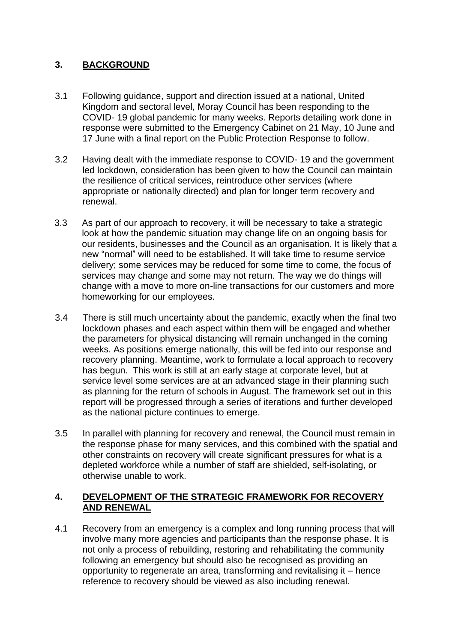# **3. BACKGROUND**

- 3.1 Following guidance, support and direction issued at a national, United Kingdom and sectoral level, Moray Council has been responding to the COVID- 19 global pandemic for many weeks. Reports detailing work done in response were submitted to the Emergency Cabinet on 21 May, 10 June and 17 June with a final report on the Public Protection Response to follow.
- 3.2 Having dealt with the immediate response to COVID- 19 and the government led lockdown, consideration has been given to how the Council can maintain the resilience of critical services, reintroduce other services (where appropriate or nationally directed) and plan for longer term recovery and renewal.
- 3.3 As part of our approach to recovery, it will be necessary to take a strategic look at how the pandemic situation may change life on an ongoing basis for our residents, businesses and the Council as an organisation. It is likely that a new "normal" will need to be established. It will take time to resume service delivery; some services may be reduced for some time to come, the focus of services may change and some may not return. The way we do things will change with a move to more on-line transactions for our customers and more homeworking for our employees.
- 3.4 There is still much uncertainty about the pandemic, exactly when the final two lockdown phases and each aspect within them will be engaged and whether the parameters for physical distancing will remain unchanged in the coming weeks. As positions emerge nationally, this will be fed into our response and recovery planning. Meantime, work to formulate a local approach to recovery has begun. This work is still at an early stage at corporate level, but at service level some services are at an advanced stage in their planning such as planning for the return of schools in August. The framework set out in this report will be progressed through a series of iterations and further developed as the national picture continues to emerge.
- 3.5 In parallel with planning for recovery and renewal, the Council must remain in the response phase for many services, and this combined with the spatial and other constraints on recovery will create significant pressures for what is a depleted workforce while a number of staff are shielded, self-isolating, or otherwise unable to work.

## **4. DEVELOPMENT OF THE STRATEGIC FRAMEWORK FOR RECOVERY AND RENEWAL**

4.1 Recovery from an emergency is a complex and long running process that will involve many more agencies and participants than the response phase. It is not only a process of rebuilding, restoring and rehabilitating the community following an emergency but should also be recognised as providing an opportunity to regenerate an area, transforming and revitalising it – hence reference to recovery should be viewed as also including renewal.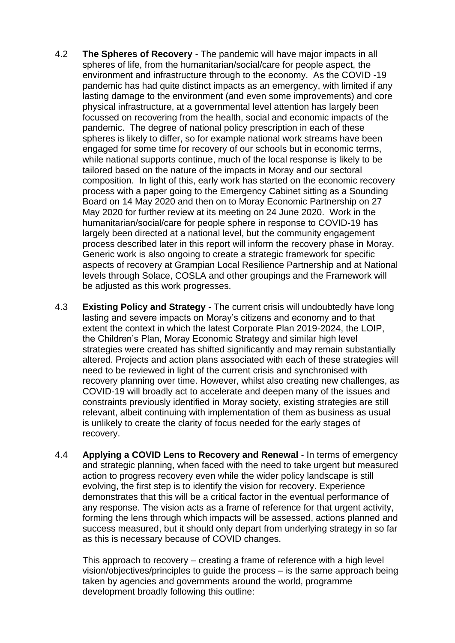- 4.2 **The Spheres of Recovery** The pandemic will have major impacts in all spheres of life, from the humanitarian/social/care for people aspect, the environment and infrastructure through to the economy. As the COVID -19 pandemic has had quite distinct impacts as an emergency, with limited if any lasting damage to the environment (and even some improvements) and core physical infrastructure, at a governmental level attention has largely been focussed on recovering from the health, social and economic impacts of the pandemic. The degree of national policy prescription in each of these spheres is likely to differ, so for example national work streams have been engaged for some time for recovery of our schools but in economic terms, while national supports continue, much of the local response is likely to be tailored based on the nature of the impacts in Moray and our sectoral composition. In light of this, early work has started on the economic recovery process with a paper going to the Emergency Cabinet sitting as a Sounding Board on 14 May 2020 and then on to Moray Economic Partnership on 27 May 2020 for further review at its meeting on 24 June 2020. Work in the humanitarian/social/care for people sphere in response to COVID-19 has largely been directed at a national level, but the community engagement process described later in this report will inform the recovery phase in Moray. Generic work is also ongoing to create a strategic framework for specific aspects of recovery at Grampian Local Resilience Partnership and at National levels through Solace, COSLA and other groupings and the Framework will be adjusted as this work progresses.
- 4.3 **Existing Policy and Strategy** The current crisis will undoubtedly have long lasting and severe impacts on Moray's citizens and economy and to that extent the context in which the latest Corporate Plan 2019-2024, the LOIP, the Children's Plan, Moray Economic Strategy and similar high level strategies were created has shifted significantly and may remain substantially altered. Projects and action plans associated with each of these strategies will need to be reviewed in light of the current crisis and synchronised with recovery planning over time. However, whilst also creating new challenges, as COVID-19 will broadly act to accelerate and deepen many of the issues and constraints previously identified in Moray society, existing strategies are still relevant, albeit continuing with implementation of them as business as usual is unlikely to create the clarity of focus needed for the early stages of recovery.
- 4.4 **Applying a COVID Lens to Recovery and Renewal** In terms of emergency and strategic planning, when faced with the need to take urgent but measured action to progress recovery even while the wider policy landscape is still evolving, the first step is to identify the vision for recovery. Experience demonstrates that this will be a critical factor in the eventual performance of any response. The vision acts as a frame of reference for that urgent activity, forming the lens through which impacts will be assessed, actions planned and success measured, but it should only depart from underlying strategy in so far as this is necessary because of COVID changes.

This approach to recovery – creating a frame of reference with a high level vision/objectives/principles to guide the process – is the same approach being taken by agencies and governments around the world, programme development broadly following this outline: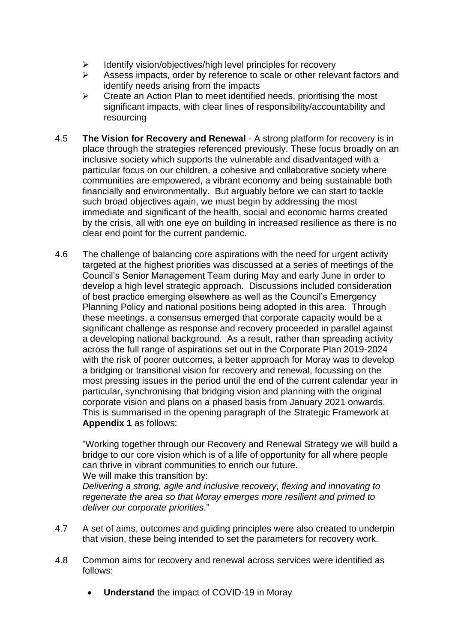- ➢ Identify vision/objectives/high level principles for recovery
- ➢ Assess impacts, order by reference to scale or other relevant factors and identify needs arising from the impacts
- $\triangleright$  Create an Action Plan to meet identified needs, prioritising the most significant impacts, with clear lines of responsibility/accountability and resourcing
- 4.5 **The Vision for Recovery and Renewal** A strong platform for recovery is in place through the strategies referenced previously. These focus broadly on an inclusive society which supports the vulnerable and disadvantaged with a particular focus on our children, a cohesive and collaborative society where communities are empowered, a vibrant economy and being sustainable both financially and environmentally. But arguably before we can start to tackle such broad objectives again, we must begin by addressing the most immediate and significant of the health, social and economic harms created by the crisis, all with one eye on building in increased resilience as there is no clear end point for the current pandemic.
- 4.6 The challenge of balancing core aspirations with the need for urgent activity targeted at the highest priorities was discussed at a series of meetings of the Council's Senior Management Team during May and early June in order to develop a high level strategic approach. Discussions included consideration of best practice emerging elsewhere as well as the Council's Emergency Planning Policy and national positions being adopted in this area. Through these meetings, a consensus emerged that corporate capacity would be a significant challenge as response and recovery proceeded in parallel against a developing national background. As a result, rather than spreading activity across the full range of aspirations set out in the Corporate Plan 2019-2024 with the risk of poorer outcomes, a better approach for Moray was to develop a bridging or transitional vision for recovery and renewal, focussing on the most pressing issues in the period until the end of the current calendar year in particular, synchronising that bridging vision and planning with the original corporate vision and plans on a phased basis from January 2021 onwards. This is summarised in the opening paragraph of the Strategic Framework at **Appendix 1** as follows:

"Working together through our Recovery and Renewal Strategy we will build a bridge to our core vision which is of a life of opportunity for all where people can thrive in vibrant communities to enrich our future. We will make this transition by:

*Delivering a strong, agile and inclusive recovery, flexing and innovating to regenerate the area so that Moray emerges more resilient and primed to deliver our corporate priorities*."

- 4.7 A set of aims, outcomes and guiding principles were also created to underpin that vision, these being intended to set the parameters for recovery work.
- 4.8 Common aims for recovery and renewal across services were identified as follows:
	- **Understand** the impact of COVID-19 in Moray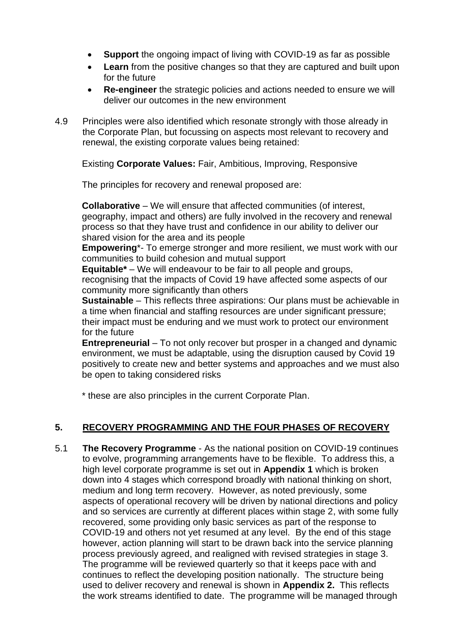- **Support** the ongoing impact of living with COVID-19 as far as possible
- **Learn** from the positive changes so that they are captured and built upon for the future
- **Re-engineer** the strategic policies and actions needed to ensure we will deliver our outcomes in the new environment
- 4.9 Principles were also identified which resonate strongly with those already in the Corporate Plan, but focussing on aspects most relevant to recovery and renewal, the existing corporate values being retained:

Existing **Corporate Values:** Fair, Ambitious, Improving, Responsive

The principles for recovery and renewal proposed are:

**Collaborative** – We will ensure that affected communities (of interest, geography, impact and others) are fully involved in the recovery and renewal process so that they have trust and confidence in our ability to deliver our shared vision for the area and its people

**Empowering**\*- To emerge stronger and more resilient, we must work with our communities to build cohesion and mutual support

**Equitable\*** – We will endeavour to be fair to all people and groups,

recognising that the impacts of Covid 19 have affected some aspects of our community more significantly than others

**Sustainable** – This reflects three aspirations: Our plans must be achievable in a time when financial and staffing resources are under significant pressure; their impact must be enduring and we must work to protect our environment for the future

**Entrepreneurial** – To not only recover but prosper in a changed and dynamic environment, we must be adaptable, using the disruption caused by Covid 19 positively to create new and better systems and approaches and we must also be open to taking considered risks

\* these are also principles in the current Corporate Plan.

## **5. RECOVERY PROGRAMMING AND THE FOUR PHASES OF RECOVERY**

5.1 **The Recovery Programme** - As the national position on COVID-19 continues to evolve, programming arrangements have to be flexible. To address this, a high level corporate programme is set out in **Appendix 1** which is broken down into 4 stages which correspond broadly with national thinking on short, medium and long term recovery. However, as noted previously, some aspects of operational recovery will be driven by national directions and policy and so services are currently at different places within stage 2, with some fully recovered, some providing only basic services as part of the response to COVID-19 and others not yet resumed at any level. By the end of this stage however, action planning will start to be drawn back into the service planning process previously agreed, and realigned with revised strategies in stage 3. The programme will be reviewed quarterly so that it keeps pace with and continues to reflect the developing position nationally. The structure being used to deliver recovery and renewal is shown in **Appendix 2.** This reflects the work streams identified to date. The programme will be managed through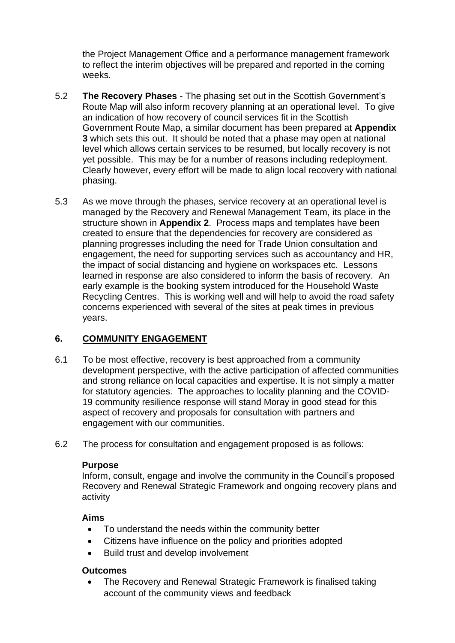the Project Management Office and a performance management framework to reflect the interim objectives will be prepared and reported in the coming weeks.

- 5.2 **The Recovery Phases** The phasing set out in the Scottish Government's Route Map will also inform recovery planning at an operational level. To give an indication of how recovery of council services fit in the Scottish Government Route Map, a similar document has been prepared at **Appendix 3** which sets this out. It should be noted that a phase may open at national level which allows certain services to be resumed, but locally recovery is not yet possible. This may be for a number of reasons including redeployment. Clearly however, every effort will be made to align local recovery with national phasing.
- 5.3 As we move through the phases, service recovery at an operational level is managed by the Recovery and Renewal Management Team, its place in the structure shown in **Appendix 2**. Process maps and templates have been created to ensure that the dependencies for recovery are considered as planning progresses including the need for Trade Union consultation and engagement, the need for supporting services such as accountancy and HR, the impact of social distancing and hygiene on workspaces etc. Lessons learned in response are also considered to inform the basis of recovery. An early example is the booking system introduced for the Household Waste Recycling Centres. This is working well and will help to avoid the road safety concerns experienced with several of the sites at peak times in previous years.

## **6. COMMUNITY ENGAGEMENT**

- 6.1 To be most effective, recovery is best approached from a community development perspective, with the active participation of affected communities and strong reliance on local capacities and expertise. It is not simply a matter for statutory agencies. The approaches to locality planning and the COVID-19 community resilience response will stand Moray in good stead for this aspect of recovery and proposals for consultation with partners and engagement with our communities.
- 6.2 The process for consultation and engagement proposed is as follows:

#### **Purpose**

Inform, consult, engage and involve the community in the Council's proposed Recovery and Renewal Strategic Framework and ongoing recovery plans and activity

#### **Aims**

- To understand the needs within the community better
- Citizens have influence on the policy and priorities adopted
- Build trust and develop involvement

#### **Outcomes**

• The Recovery and Renewal Strategic Framework is finalised taking account of the community views and feedback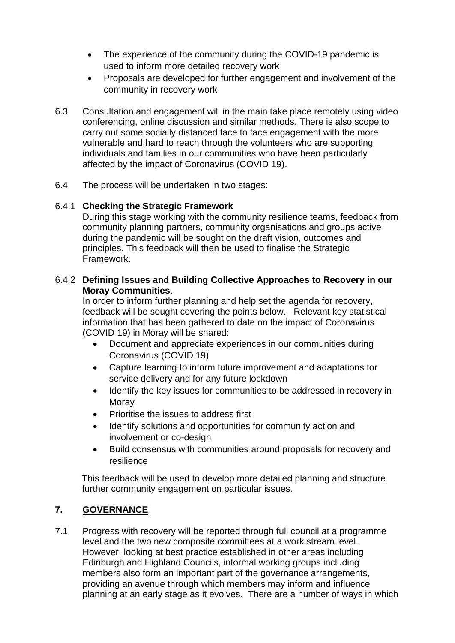- The experience of the community during the COVID-19 pandemic is used to inform more detailed recovery work
- Proposals are developed for further engagement and involvement of the community in recovery work
- 6.3 Consultation and engagement will in the main take place remotely using video conferencing, online discussion and similar methods. There is also scope to carry out some socially distanced face to face engagement with the more vulnerable and hard to reach through the volunteers who are supporting individuals and families in our communities who have been particularly affected by the impact of Coronavirus (COVID 19).
- 6.4 The process will be undertaken in two stages:

### 6.4.1 **Checking the Strategic Framework**

During this stage working with the community resilience teams, feedback from community planning partners, community organisations and groups active during the pandemic will be sought on the draft vision, outcomes and principles. This feedback will then be used to finalise the Strategic Framework.

### 6.4.2 **Defining Issues and Building Collective Approaches to Recovery in our Moray Communities**.

In order to inform further planning and help set the agenda for recovery, feedback will be sought covering the points below. Relevant key statistical information that has been gathered to date on the impact of Coronavirus (COVID 19) in Moray will be shared:

- Document and appreciate experiences in our communities during Coronavirus (COVID 19)
- Capture learning to inform future improvement and adaptations for service delivery and for any future lockdown
- Identify the key issues for communities to be addressed in recovery in Moray
- Prioritise the issues to address first
- Identify solutions and opportunities for community action and involvement or co-design
- Build consensus with communities around proposals for recovery and resilience

This feedback will be used to develop more detailed planning and structure further community engagement on particular issues.

## **7. GOVERNANCE**

7.1 Progress with recovery will be reported through full council at a programme level and the two new composite committees at a work stream level. However, looking at best practice established in other areas including Edinburgh and Highland Councils, informal working groups including members also form an important part of the governance arrangements, providing an avenue through which members may inform and influence planning at an early stage as it evolves. There are a number of ways in which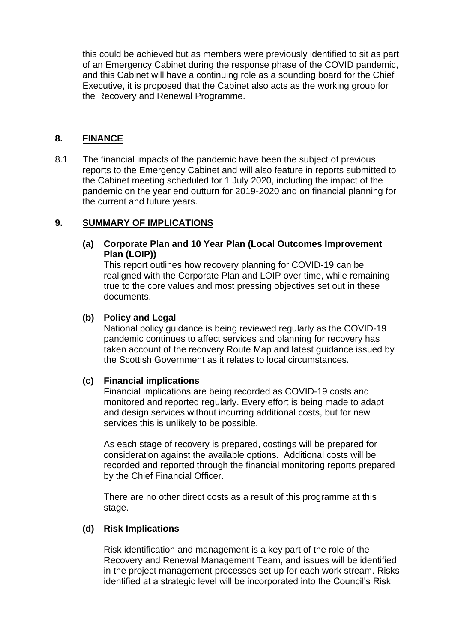this could be achieved but as members were previously identified to sit as part of an Emergency Cabinet during the response phase of the COVID pandemic, and this Cabinet will have a continuing role as a sounding board for the Chief Executive, it is proposed that the Cabinet also acts as the working group for the Recovery and Renewal Programme.

## **8. FINANCE**

8.1 The financial impacts of the pandemic have been the subject of previous reports to the Emergency Cabinet and will also feature in reports submitted to the Cabinet meeting scheduled for 1 July 2020, including the impact of the pandemic on the year end outturn for 2019-2020 and on financial planning for the current and future years.

### **9. SUMMARY OF IMPLICATIONS**

### **(a) Corporate Plan and 10 Year Plan (Local Outcomes Improvement Plan (LOIP))**

This report outlines how recovery planning for COVID-19 can be realigned with the Corporate Plan and LOIP over time, while remaining true to the core values and most pressing objectives set out in these documents.

#### **(b) Policy and Legal**

National policy guidance is being reviewed regularly as the COVID-19 pandemic continues to affect services and planning for recovery has taken account of the recovery Route Map and latest guidance issued by the Scottish Government as it relates to local circumstances.

## **(c) Financial implications**

Financial implications are being recorded as COVID-19 costs and monitored and reported regularly. Every effort is being made to adapt and design services without incurring additional costs, but for new services this is unlikely to be possible.

As each stage of recovery is prepared, costings will be prepared for consideration against the available options. Additional costs will be recorded and reported through the financial monitoring reports prepared by the Chief Financial Officer.

There are no other direct costs as a result of this programme at this stage.

#### **(d) Risk Implications**

Risk identification and management is a key part of the role of the Recovery and Renewal Management Team, and issues will be identified in the project management processes set up for each work stream. Risks identified at a strategic level will be incorporated into the Council's Risk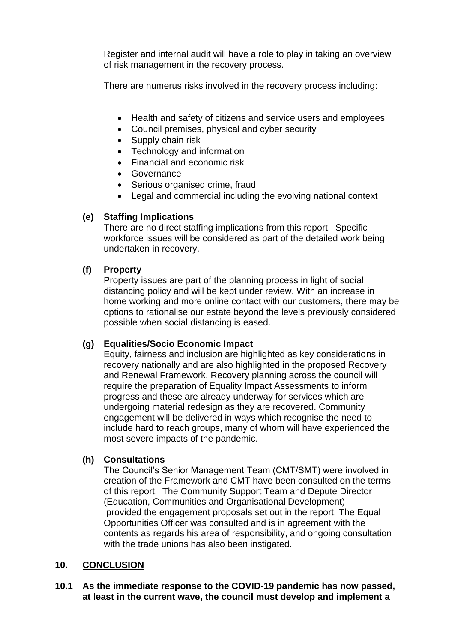Register and internal audit will have a role to play in taking an overview of risk management in the recovery process.

There are numerus risks involved in the recovery process including:

- Health and safety of citizens and service users and employees
- Council premises, physical and cyber security
- Supply chain risk
- Technology and information
- Financial and economic risk
- Governance
- Serious organised crime, fraud
- Legal and commercial including the evolving national context

### **(e) Staffing Implications**

There are no direct staffing implications from this report. Specific workforce issues will be considered as part of the detailed work being undertaken in recovery.

#### **(f) Property**

Property issues are part of the planning process in light of social distancing policy and will be kept under review. With an increase in home working and more online contact with our customers, there may be options to rationalise our estate beyond the levels previously considered possible when social distancing is eased.

#### **(g) Equalities/Socio Economic Impact**

Equity, fairness and inclusion are highlighted as key considerations in recovery nationally and are also highlighted in the proposed Recovery and Renewal Framework. Recovery planning across the council will require the preparation of Equality Impact Assessments to inform progress and these are already underway for services which are undergoing material redesign as they are recovered. Community engagement will be delivered in ways which recognise the need to include hard to reach groups, many of whom will have experienced the most severe impacts of the pandemic.

#### **(h) Consultations**

The Council's Senior Management Team (CMT/SMT) were involved in creation of the Framework and CMT have been consulted on the terms of this report. The Community Support Team and Depute Director (Education, Communities and Organisational Development) provided the engagement proposals set out in the report. The Equal Opportunities Officer was consulted and is in agreement with the contents as regards his area of responsibility, and ongoing consultation with the trade unions has also been instigated.

## **10. CONCLUSION**

#### **10.1 As the immediate response to the COVID-19 pandemic has now passed, at least in the current wave, the council must develop and implement a**